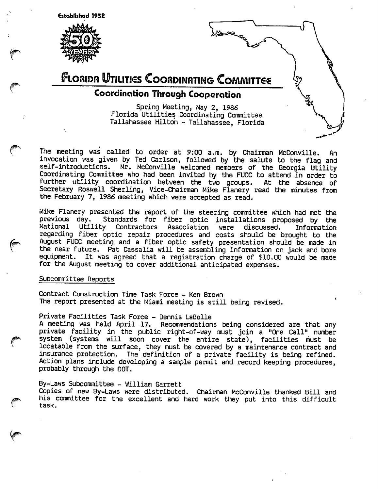established 1932





The meeting was called to order at 9:00 a.m. by Chairman McConville. An invocation was given by Ted Carlson, followed by the salute to the flag and self-introductions. Mr. McConville welcomed members of the Georgia Utility Coordinating Committee who had been invited by the FUCC to attend in order to further utility coordination between the two groups. At the absence of Secretary Roswell Sherling, Vice-Chairman Mike Flanery read the minutes from the February 7, 1986 meeting which were accepted as read.

Mike Flanery presented the report of the steering committee which had met the<br>previous day. Standards for fiber optic installations proposed by the Standards for fiber optic installations proposed by the National Utility Contractors Association were discussed. Information regarding fiber optic repair procedures and costs should be brought to the August FUCC meeting and a fiber optic safety presentation should be made in the near future. Pat Cassalia will be assembling information on jack and bore equipment. It was agreed that a registration charge of \$10.00 would be made for the August meeting to cover additional anticipated expenses.

## SuDcommittee Reports

Contract Construction Time Task Force - Ken Brown The report presented at the Miami meeting is still being revised.

Private Facilities Task Force - Dennis LaBelle A meeting was held April 17. Recommendations being considered are that any private facility in the public right-of-way must join a "One Call" number

system (systems will soon cover the entire state), facilities must be locatable from the surface, they must be covered by a maintenance contract and insurance protection. The definition of a private facility is being refined. Action plans include developing a sample permit and record keeping procedures, probably through the DOT.

By-Laws Subcommittee - William Garrett Copies of new By-Laws were distributed. Chairman McConville thanked Bill and his committee for the excellent and hard work they put into this difficult task.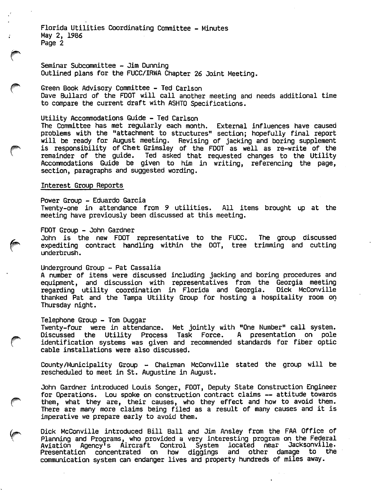Florida Utilities Coordinating Committee - Minutes May 2, 1986 Page 2

Seminar Subcommittee - Jim Dunning Outlined plans for the FUCC/IRWA Chapter 26 Joint Meeting.

^ Green Book Advisory Committee - Ted Carlson Dave Bullard of the FOOT will call another meeting and needs additional time to compare the current draft with ASHTO Specifications.

Utility Accommodations Guide - Ted Carlson

The Committee has met regularly each month. External influences have caused problems with the "attachment to structures" section; hopefully final report will be ready for August meeting. Revising of jacking and boring supplement problems with the "attachment to structures" section; hoperully final report<br>will be ready for August meeting. Revising of jacking and boring supplement<br>is responsibility of Chet Grimsley of the FDOT as well as re-write of remainder of the guide. Ted asked that requested changes to the Utility Accommodations Guide be given to him in writing, referencing the page, section, paragraphs and suggested wording.

## Interest Group Reports

Power Group - Eduardo Garcia Twenty-one in attendance from 9 utilities. All items brought up at the meeting have previously been discussed at this meeting.

#### FDGT Group - John Gardner

, John is the new FDGT representative to the FUCC. The group discussed expediting contract handling within the DGT, tree trimming and cutting underbrush.

# Underground Group - Pat Cassalia

A number of items were discussed including jacking and boring procedures and equipment, and discussion with representatives from the Georgia meeting<br>regarding utility coordination in Florida and Georgia. Dick McConville regarding utility coordination in Florida and Georgia. thanked Pat and the Tampa Utility Group for hosting a hospitality room on Thursday night.

### Telephone Group - Tom Duggar

Twenty-four were in attendance. Met jointly with "One Number" call system.<br>Discussed the Utility Process Task Force. A presentation on pole<br>identification systems was given and recommended standards for fiber ontic identification systems was given and recommended standards for fiber optic cable installations were also discussed.

County/Municipality Group - Chairman McConville stated the group will be rescheduled to meet in St. Augustine in August.

John Gardner introduced Louis Songer, FDDT, Deputy State Construction Engineer for Gperations. Lou spoke on construction contract claims — attitude towards them, what they are, their causes, who they effect and how to avoid them. There are many more claims being filed as a result of many causes and it is imperative we prepare early to avoid them.

Dick McConville introduced Bill Ball and Jim Ansley from the FAA Gffice of Planning and Programs, who provided a very interesting program on the Federal Aviation Agency's Aircraft Control System located Presentation concentrated on how diggings and o bher damage to the Jacksonville. communication system can endanger lives and property hundreds of miles away.